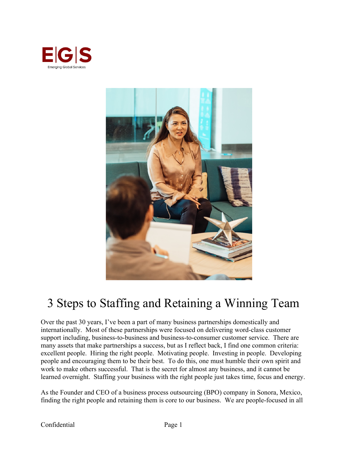



# 3 Steps to Staffing and Retaining a Winning Team

Over the past 30 years, I've been a part of many business partnerships domestically and internationally. Most of these partnerships were focused on delivering word-class customer support including, business-to-business and business-to-consumer customer service. There are many assets that make partnerships a success, but as I reflect back, I find one common criteria: excellent people. Hiring the right people. Motivating people. Investing in people. Developing people and encouraging them to be their best. To do this, one must humble their own spirit and work to make others successful. That is the secret for almost any business, and it cannot be learned overnight. Staffing your business with the right people just takes time, focus and energy.

As the Founder and CEO of a business process outsourcing (BPO) company in Sonora, Mexico, finding the right people and retaining them is core to our business. We are people-focused in all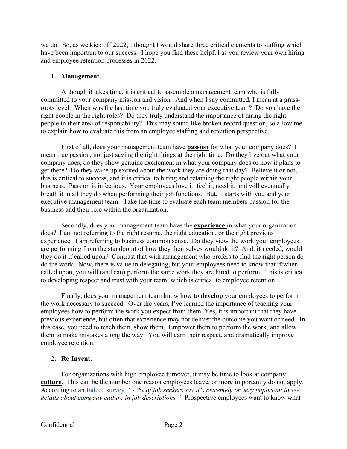we do. So, as we kick off 2022, I thought I would share three critical elements to staffing which have been important to our success. I hope you find these helpful as you review your own hiring and employee retention processes in 2022.

#### **1. Management.**

Although it takes time, it is critical to assemble a management team who is fully committed to your company mission and vision. And when I say committed, I mean at a grassroots level. When was the last time you truly evaluated your executive team? Do you have the right people in the right roles? Do they truly understand the importance of hiring the right people in their area of responsibility? This may sound like broken-record question, so allow me to explain how to evaluate this from an employee staffing and retention perspective.

First of all, does your management team have **passion** for what your company does? I mean true passion, not just saying the right things at the right time. Do they live out what your company does, do they show genuine excitement in what your company does or how it plans to get there? Do they wake up excited about the work they are doing that day? Believe it or not, this is critical to success, and it is critical to hiring and retaining the right people within your business. Passion is infectious. Your employees love it, feel it, need it, and will eventually breath it in all they do when performing their job functions. But, it starts with you and your executive management team. Take the time to evaluate each team members passion for the business and their role within the organization.

Secondly, does your management team have the **experience** in what your organization does? I am not referring to the right resume, the right education, or the right previous experience. I am referring to business common sense. Do they view the work your employees are performing from the standpoint of how they themselves would do it? And, if needed, would they do it if called upon? Contrast that with management who prefers to find the right person do do the work. Now, there is value in delegating, but your employees need to know that if/when called upon, you will (and can) perform the same work they are hired to perform. This is critical to developing respect and trust with your team, which is critical to employee retention.

Finally, does your management team know how to **develop** your employees to perform the work necessary to succeed. Over the years, I've learned the importance of teaching your employees how to perform the work you expect from them. Yes, it is important that they have previous experience, but often that experience may not deliver the outcome you want or need. In this case, you need to teach them, show them. Empower them to perform the work, and allow them to make mistakes along the way. You will earn their respect, and dramatically improve employee retention.

## **2. Re-Invent.**

For organizations with high employee turnover, it may be time to look at company **culture**. This can be the number one reason employees leave, or more importantly do not apply. According to an Indeed survey, *"72% of job seekers say it's extremely or very important to see details about company culture in job descriptions."* Prospective employees want to know what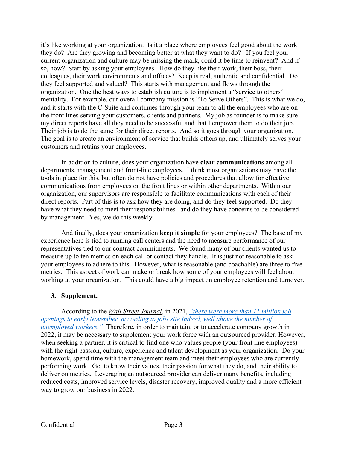it's like working at your organization. Is it a place where employees feel good about the work they do? Are they growing and becoming better at what they want to do? If you feel your current organization and culture may be missing the mark, could it be time to reinvent**?** And if so, how? Start by asking your employees. How do they like their work, their boss, their colleagues, their work environments and offices? Keep is real, authentic and confidential. Do they feel supported and valued? This starts with management and flows through the organization. One the best ways to establish culture is to implement a "service to others" mentality. For example, our overall company mission is "To Serve Others". This is what we do, and it starts with the C-Suite and continues through your team to all the employees who are on the front lines serving your customers, clients and partners. My job as founder is to make sure my direct reports have all they need to be successful and that I empower them to do their job. Their job is to do the same for their direct reports. And so it goes through your organization. The goal is to create an environment of service that builds others up, and ultimately serves your customers and retains your employees.

In addition to culture, does your organization have **clear communications** among all departments, management and front-line employees. I think most organizations may have the tools in place for this, but often do not have policies and procedures that allow for effective communications from employees on the front lines or within other departments. Within our organization, our supervisors are responsible to facilitate communications with each of their direct reports. Part of this is to ask how they are doing, and do they feel supported. Do they have what they need to meet their responsibilities. and do they have concerns to be considered by management. Yes, we do this weekly.

And finally, does your organization **keep it simple** for your employees? The base of my experience here is tied to running call centers and the need to measure performance of our representatives tied to our contract commitments. We found many of our clients wanted us to measure up to ten metrics on each call or contact they handle. It is just not reasonable to ask your employees to adhere to this. However, what is reasonable (and coachable) are three to five metrics. This aspect of work can make or break how some of your employees will feel about working at your organization. This could have a big impact on employee retention and turnover.

## **3. Supplement.**

According to the *Wall Street Journal*, in 2021, *"there were more than 11 million job openings in early November, according to jobs site Indeed, well above the number of unemployed workers."* Therefore, in order to maintain, or to accelerate company growth in 2022, it may be necessary to supplement your work force with an outsourced provider. However, when seeking a partner, it is critical to find one who values people (your front line employees) with the right passion, culture, experience and talent development as your organization. Do your homework, spend time with the management team and meet their employees who are currently performing work. Get to know their values, their passion for what they do, and their ability to deliver on metrics. Leveraging an outsourced provider can deliver many benefits, including reduced costs, improved service levels, disaster recovery, improved quality and a more efficient way to grow our business in 2022.